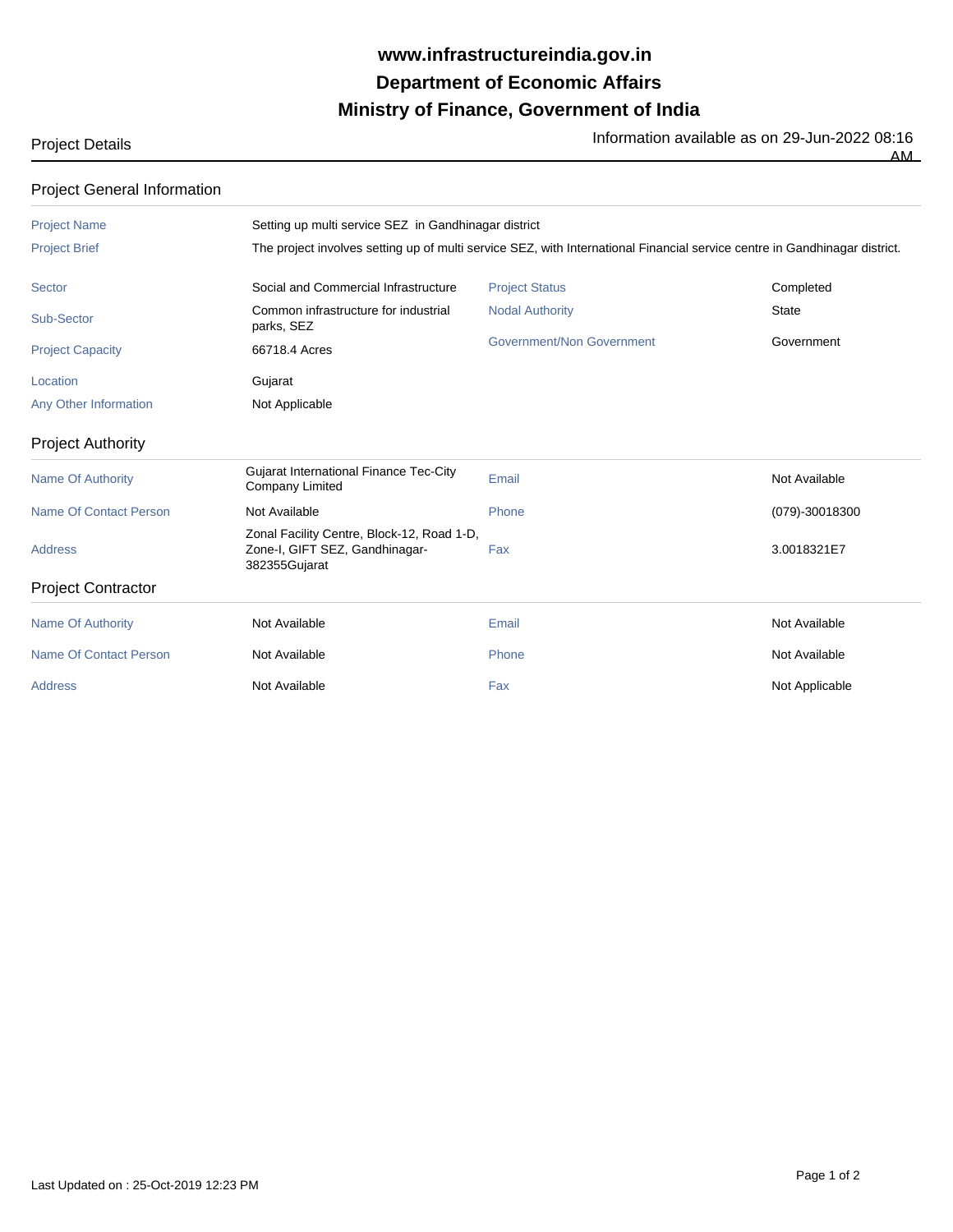## **Ministry of Finance, Government of India Department of Economic Affairs www.infrastructureindia.gov.in**

|  | 911 LULL 00.10 |  |
|--|----------------|--|
|  | ΔМ             |  |
|  |                |  |

| <b>Project General Information</b> |                                                                                                                            |                                  |                |  |  |  |
|------------------------------------|----------------------------------------------------------------------------------------------------------------------------|----------------------------------|----------------|--|--|--|
| <b>Project Name</b>                | Setting up multi service SEZ in Gandhinagar district                                                                       |                                  |                |  |  |  |
| <b>Project Brief</b>               | The project involves setting up of multi service SEZ, with International Financial service centre in Gandhinagar district. |                                  |                |  |  |  |
| Sector                             | Social and Commercial Infrastructure                                                                                       | <b>Project Status</b>            | Completed      |  |  |  |
| Sub-Sector                         | Common infrastructure for industrial<br>parks, SEZ                                                                         | <b>Nodal Authority</b>           | <b>State</b>   |  |  |  |
| <b>Project Capacity</b>            | 66718.4 Acres                                                                                                              | <b>Government/Non Government</b> | Government     |  |  |  |
| Location                           | Gujarat                                                                                                                    |                                  |                |  |  |  |
| Any Other Information              | Not Applicable                                                                                                             |                                  |                |  |  |  |
| <b>Project Authority</b>           |                                                                                                                            |                                  |                |  |  |  |
| <b>Name Of Authority</b>           | Gujarat International Finance Tec-City<br><b>Company Limited</b>                                                           | Email                            | Not Available  |  |  |  |
| Name Of Contact Person             | Not Available                                                                                                              | Phone                            | (079)-30018300 |  |  |  |
| <b>Address</b>                     | Zonal Facility Centre, Block-12, Road 1-D,<br>Zone-I, GIFT SEZ, Gandhinagar-<br>382355Gujarat                              | Fax                              | 3.0018321E7    |  |  |  |
| <b>Project Contractor</b>          |                                                                                                                            |                                  |                |  |  |  |
| <b>Name Of Authority</b>           | Not Available                                                                                                              | Email                            | Not Available  |  |  |  |
| <b>Name Of Contact Person</b>      | Not Available                                                                                                              | Phone                            | Not Available  |  |  |  |
| <b>Address</b>                     | Not Available                                                                                                              | Fax                              | Not Applicable |  |  |  |